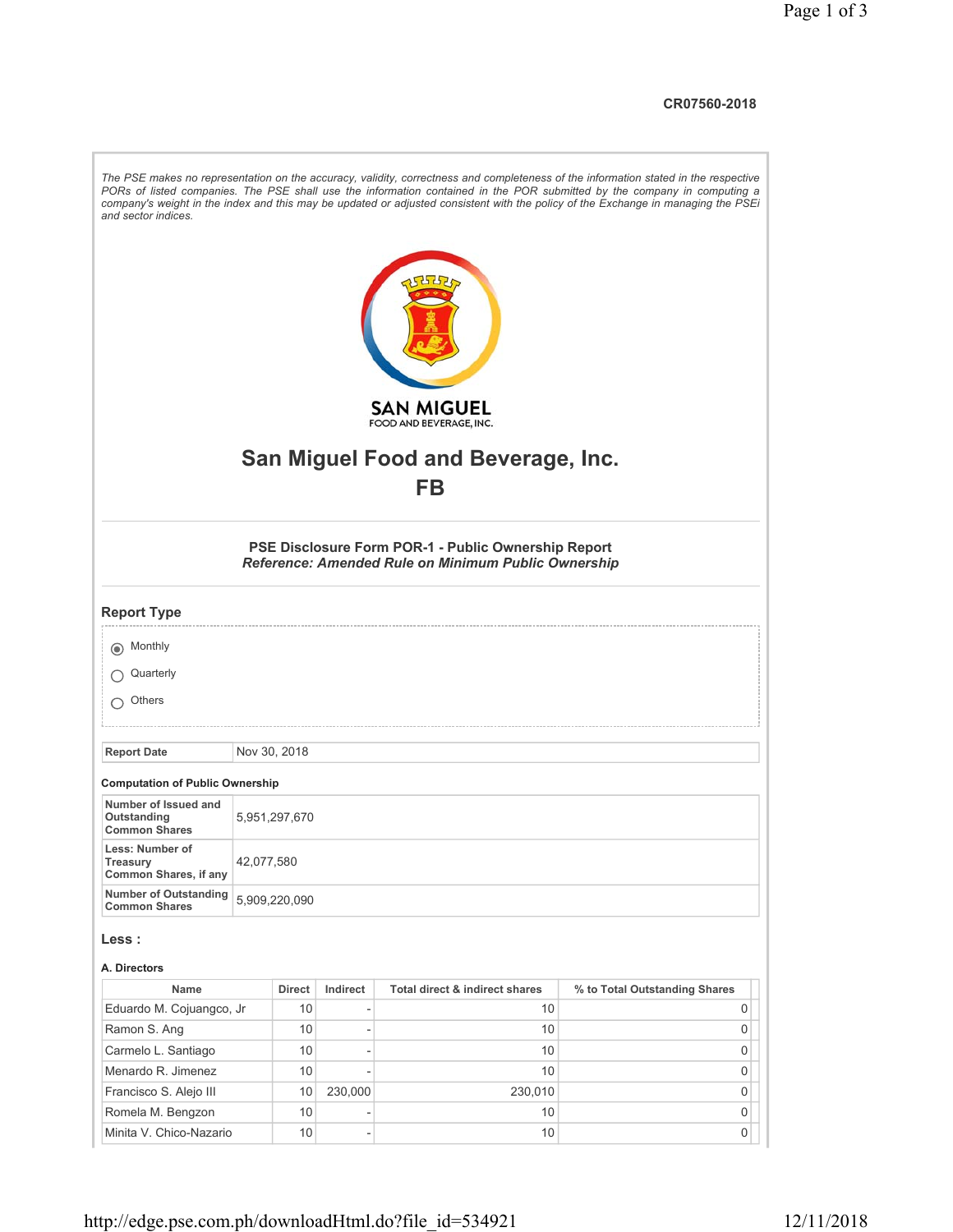## **CR07560-2018**

| and sector indices.                                  |               |               |                              |                                                                                                            | The PSE makes no representation on the accuracy, validity, correctness and completeness of the information stated in the respective<br>PORs of listed companies. The PSE shall use the information contained in the POR submitted by the company in computing a<br>company's weight in the index and this may be updated or adjusted consistent with the policy of the Exchange in managing the PSEi |
|------------------------------------------------------|---------------|---------------|------------------------------|------------------------------------------------------------------------------------------------------------|------------------------------------------------------------------------------------------------------------------------------------------------------------------------------------------------------------------------------------------------------------------------------------------------------------------------------------------------------------------------------------------------------|
|                                                      |               |               |                              | <b>SAN MIGUEL</b>                                                                                          |                                                                                                                                                                                                                                                                                                                                                                                                      |
|                                                      |               |               |                              | FOOD AND BEVERAGE, INC.                                                                                    |                                                                                                                                                                                                                                                                                                                                                                                                      |
|                                                      |               |               |                              |                                                                                                            |                                                                                                                                                                                                                                                                                                                                                                                                      |
|                                                      |               |               |                              | San Miguel Food and Beverage, Inc.                                                                         |                                                                                                                                                                                                                                                                                                                                                                                                      |
|                                                      |               |               |                              | <b>FB</b>                                                                                                  |                                                                                                                                                                                                                                                                                                                                                                                                      |
|                                                      |               |               |                              |                                                                                                            |                                                                                                                                                                                                                                                                                                                                                                                                      |
|                                                      |               |               |                              | PSE Disclosure Form POR-1 - Public Ownership Report<br>Reference: Amended Rule on Minimum Public Ownership |                                                                                                                                                                                                                                                                                                                                                                                                      |
| <b>Report Type</b>                                   |               |               |                              |                                                                                                            |                                                                                                                                                                                                                                                                                                                                                                                                      |
| (a) Monthly                                          |               |               |                              |                                                                                                            |                                                                                                                                                                                                                                                                                                                                                                                                      |
| Quarterly                                            |               |               |                              |                                                                                                            |                                                                                                                                                                                                                                                                                                                                                                                                      |
|                                                      |               |               |                              |                                                                                                            |                                                                                                                                                                                                                                                                                                                                                                                                      |
| Others                                               |               |               |                              |                                                                                                            |                                                                                                                                                                                                                                                                                                                                                                                                      |
|                                                      |               |               |                              |                                                                                                            |                                                                                                                                                                                                                                                                                                                                                                                                      |
| <b>Report Date</b>                                   | Nov 30, 2018  |               |                              |                                                                                                            |                                                                                                                                                                                                                                                                                                                                                                                                      |
| <b>Computation of Public Ownership</b>               |               |               |                              |                                                                                                            |                                                                                                                                                                                                                                                                                                                                                                                                      |
| Number of Issued and                                 |               |               |                              |                                                                                                            |                                                                                                                                                                                                                                                                                                                                                                                                      |
| Outstanding<br><b>Common Shares</b>                  | 5,951,297,670 |               |                              |                                                                                                            |                                                                                                                                                                                                                                                                                                                                                                                                      |
| Less: Number of                                      |               |               |                              |                                                                                                            |                                                                                                                                                                                                                                                                                                                                                                                                      |
| Treasury<br>Common Shares, if any                    | 42,077,580    |               |                              |                                                                                                            |                                                                                                                                                                                                                                                                                                                                                                                                      |
| <b>Number of Outstanding</b><br><b>Common Shares</b> | 5,909,220,090 |               |                              |                                                                                                            |                                                                                                                                                                                                                                                                                                                                                                                                      |
|                                                      |               |               |                              |                                                                                                            |                                                                                                                                                                                                                                                                                                                                                                                                      |
| Less :                                               |               |               |                              |                                                                                                            |                                                                                                                                                                                                                                                                                                                                                                                                      |
| A. Directors                                         |               |               |                              |                                                                                                            |                                                                                                                                                                                                                                                                                                                                                                                                      |
| Name                                                 |               | <b>Direct</b> | Indirect                     | Total direct & indirect shares                                                                             | % to Total Outstanding Shares                                                                                                                                                                                                                                                                                                                                                                        |
| Eduardo M. Cojuangco, Jr                             |               | 10            | $\overline{\phantom{0}}$     | 10                                                                                                         | 0                                                                                                                                                                                                                                                                                                                                                                                                    |
| Ramon S. Ang                                         |               | 10            | $\overline{\phantom{a}}$     | 10                                                                                                         | 0                                                                                                                                                                                                                                                                                                                                                                                                    |
| Carmelo L. Santiago                                  |               | 10            | $\overline{\phantom{a}}$     | 10                                                                                                         | 0                                                                                                                                                                                                                                                                                                                                                                                                    |
| Menardo R. Jimenez                                   |               | 10            |                              | 10                                                                                                         | 0                                                                                                                                                                                                                                                                                                                                                                                                    |
| Francisco S. Alejo III                               |               | 10            | 230,000                      | 230,010                                                                                                    | 0                                                                                                                                                                                                                                                                                                                                                                                                    |
| Romela M. Bengzon                                    |               | 10            |                              | 10                                                                                                         | 0                                                                                                                                                                                                                                                                                                                                                                                                    |
| Minita V. Chico-Nazario                              |               | 10            | $\qquad \qquad \blacksquare$ | 10                                                                                                         | 0                                                                                                                                                                                                                                                                                                                                                                                                    |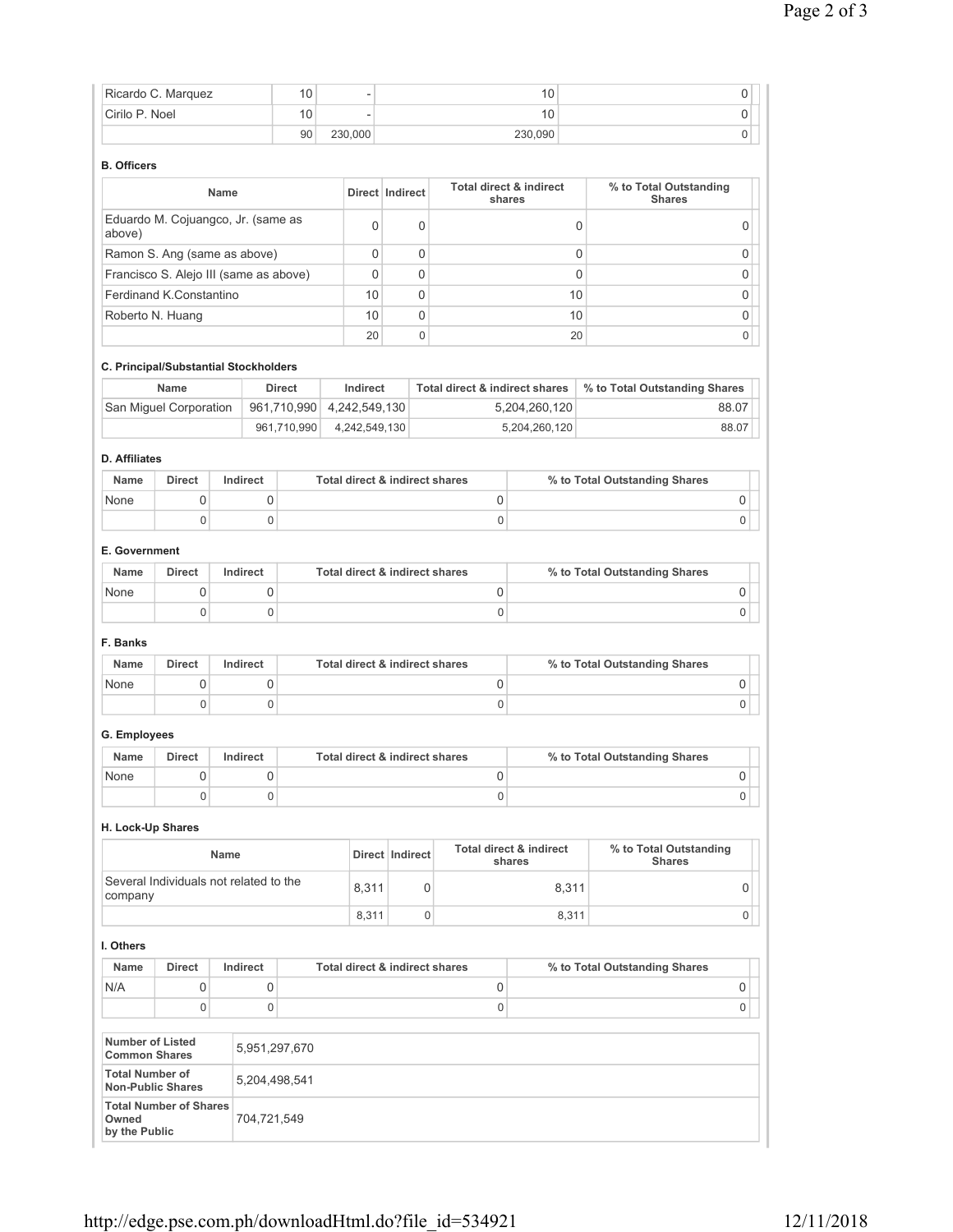|                                                | Ricardo C. Marquez                                        |             |             | 10            |                                |                 |             |                                           | 10                                |             |                                         | 0           |
|------------------------------------------------|-----------------------------------------------------------|-------------|-------------|---------------|--------------------------------|-----------------|-------------|-------------------------------------------|-----------------------------------|-------------|-----------------------------------------|-------------|
| Cirilo P. Noel                                 |                                                           |             |             | 10            |                                |                 |             |                                           | 10                                |             |                                         | 0           |
|                                                |                                                           |             |             | 90            | 230,000                        |                 |             |                                           | 230,090                           |             |                                         | 0           |
| <b>B.</b> Officers                             |                                                           |             |             |               |                                |                 |             |                                           |                                   |             |                                         |             |
|                                                |                                                           | Name        |             |               | Direct Indirect                |                 |             | Total direct & indirect                   | shares                            |             | % to Total Outstanding<br><b>Shares</b> |             |
| above)                                         | Eduardo M. Cojuangco, Jr. (same as                        |             |             |               | 0                              |                 | 0           |                                           |                                   | 0           |                                         | 0           |
|                                                | Ramon S. Ang (same as above)                              |             |             |               | 0                              |                 | $\mathbf 0$ |                                           |                                   | $\mathbf 0$ |                                         | 0           |
|                                                | Francisco S. Alejo III (same as above)                    |             |             |               | 0                              |                 | $\mathbf 0$ |                                           |                                   | $\mathbf 0$ |                                         | 0           |
|                                                | Ferdinand K.Constantino                                   |             |             |               | 10                             |                 | $\Omega$    |                                           |                                   | 10          |                                         | 0           |
|                                                | Roberto N. Huang                                          |             |             |               | 10                             |                 | 0           |                                           |                                   | 10          |                                         | 0           |
|                                                |                                                           |             |             |               | 20                             |                 | 0           |                                           |                                   | 20          |                                         | 0           |
|                                                | C. Principal/Substantial Stockholders                     |             |             |               |                                |                 |             |                                           |                                   |             |                                         |             |
|                                                | <b>Name</b>                                               |             |             | <b>Direct</b> | Indirect                       |                 |             | <b>Total direct &amp; indirect shares</b> |                                   |             | % to Total Outstanding Shares           |             |
|                                                | San Miguel Corporation                                    |             |             | 961,710,990   | 4,242,549,130                  |                 |             |                                           | 5,204,260,120                     |             |                                         | 88.07       |
|                                                |                                                           |             |             | 961,710,990   | 4,242,549,130                  |                 |             |                                           | 5,204,260,120                     |             |                                         | 88.07       |
| <b>D.</b> Affiliates                           |                                                           |             |             |               |                                |                 |             |                                           |                                   |             |                                         |             |
| <b>Name</b>                                    | <b>Direct</b>                                             | Indirect    |             |               | Total direct & indirect shares |                 |             |                                           |                                   |             | % to Total Outstanding Shares           |             |
| None                                           | 0                                                         |             | 0           |               |                                |                 |             | 0                                         |                                   |             |                                         | 0           |
|                                                | $\mathbf 0$                                               |             | 0           |               |                                |                 |             | 0                                         |                                   |             |                                         | $\mathbf 0$ |
| E. Government                                  |                                                           |             |             |               |                                |                 |             |                                           |                                   |             |                                         |             |
| Name                                           | <b>Direct</b>                                             | Indirect    |             |               | Total direct & indirect shares |                 |             |                                           |                                   |             | % to Total Outstanding Shares           |             |
| None                                           | 0                                                         |             | 0           |               |                                |                 |             | 0                                         |                                   |             |                                         | 0           |
|                                                | $\mathbf 0$                                               |             | 0           |               |                                |                 |             | 0                                         |                                   |             |                                         | 0           |
| F. Banks                                       |                                                           |             |             |               |                                |                 |             |                                           |                                   |             |                                         |             |
| Name                                           | <b>Direct</b>                                             | Indirect    |             |               | Total direct & indirect shares |                 |             |                                           |                                   |             | % to Total Outstanding Shares           |             |
| None                                           | 0                                                         |             | 0           |               |                                |                 |             | 0                                         |                                   |             |                                         | 0           |
|                                                | $\mathbf 0$                                               |             | $\mathbf 0$ |               |                                |                 |             | 0                                         |                                   |             |                                         | 0           |
| G. Employees                                   |                                                           |             |             |               |                                |                 |             |                                           |                                   |             |                                         |             |
| Name                                           | <b>Direct</b>                                             | Indirect    |             |               | Total direct & indirect shares |                 |             |                                           |                                   |             | % to Total Outstanding Shares           |             |
| None                                           | 0                                                         |             | 0           |               |                                |                 |             | 0                                         |                                   |             |                                         | 0           |
|                                                | $\mathbf 0$                                               |             | 0           |               |                                |                 |             | 0                                         |                                   |             |                                         | 0           |
| H. Lock-Up Shares                              |                                                           |             |             |               |                                |                 |             |                                           |                                   |             |                                         |             |
|                                                |                                                           | <b>Name</b> |             |               |                                | Direct Indirect |             |                                           | Total direct & indirect<br>shares |             | % to Total Outstanding<br><b>Shares</b> |             |
|                                                | Several Individuals not related to the                    |             |             |               | 8,311                          |                 | 0           |                                           |                                   | 8,311       |                                         | 0           |
| company                                        |                                                           |             |             |               | 8,311                          |                 | $\mathbf 0$ |                                           |                                   | 8,311       |                                         | 0           |
| I. Others                                      |                                                           |             |             |               |                                |                 |             |                                           |                                   |             |                                         |             |
| Name                                           | Direct                                                    | Indirect    |             |               | Total direct & indirect shares |                 |             |                                           |                                   |             | % to Total Outstanding Shares           |             |
| N/A                                            | 0                                                         |             | 0           |               |                                |                 |             | $\mathsf 0$                               |                                   |             |                                         | 0           |
|                                                | $\mathbf 0$                                               |             | 0           |               |                                |                 |             | 0                                         |                                   |             |                                         | $\mathbf 0$ |
| <b>Number of Listed</b>                        |                                                           |             |             |               |                                |                 |             |                                           |                                   |             |                                         |             |
| <b>Common Shares</b><br><b>Total Number of</b> |                                                           |             |             | 5,951,297,670 |                                |                 |             |                                           |                                   |             |                                         |             |
|                                                | <b>Non-Public Shares</b><br><b>Total Number of Shares</b> |             |             | 5,204,498,541 |                                |                 |             |                                           |                                   |             |                                         |             |
| Owned<br>by the Public                         |                                                           |             | 704,721,549 |               |                                |                 |             |                                           |                                   |             |                                         |             |